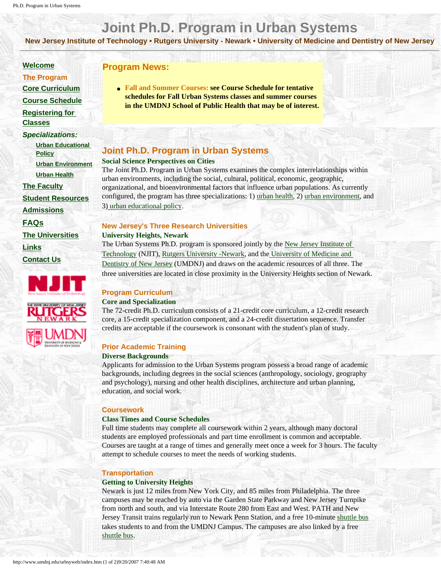# **Joint Ph.D. Program in Urban Systems**

**New Jersey Institute of Technology • Rutgers University - Newark • University of Medicine and Dentistry of New Jersey**

#### **[Welcome](http://www.umdnj.edu/urbsyweb/welcome/index.htm)**

- **The Program**
- **[Core Curriculum](http://www.umdnj.edu/urbsyweb/curriculum/index.htm)**
- **[Course Schedule](http://www.umdnj.edu/urbsyweb/courses/index.htm)**
- **[Registering for](http://www.umdnj.edu/urbsyweb/Registration/index.htm)**
- **[Classes](http://www.umdnj.edu/urbsyweb/Registration/index.htm)**
- *Specializations:*
- **[Urban Educational](http://www.umdnj.edu/urbsyweb/curriculum/education/index.htm) [Policy](http://www.umdnj.edu/urbsyweb/curriculum/education/index.htm) [Urban Environment](http://www.umdnj.edu/urbsyweb/curriculum/environment/index.htm)**
- **[Urban Health](http://www.umdnj.edu/urbsyweb/curriculum/health/index.htm)**
- **[The Faculty](http://www.umdnj.edu/urbsyweb/faculty/index.htm)**
- **[Student Resources](http://www.umdnj.edu/urbsyweb/Students/index.htm)**

**[Admissions](http://www.umdnj.edu/urbsyweb/admissions/index.htm)**

**[FAQs](http://www.umdnj.edu/urbsyweb/FAQ/index.htm)**

**[The Universities](http://www.umdnj.edu/urbsyweb/universities/index.htm)**

**[Links](http://www.umdnj.edu/urbsyweb/links/index.htm)**

**[Contact Us](http://www.umdnj.edu/urbsyweb/contact/index.htm)**



## **Program News:**

● **Fall and Summer Courses: see Course Schedule for tentative schedules for Fall Urban Systems classes and summer courses in the UMDNJ School of Public Health that may be of interest.**

# **Joint Ph.D. Program in Urban Systems**

#### **Social Science Perspectives on Cities**

The Joint Ph.D. Program in Urban Systems examines the complex interrelationships within urban environments, including the social, cultural, political, economic, geographic, organizational, and bioenvironmental factors that influence urban populations. As currently configured, the program has three specializations: 1) [urban health,](http://www.umdnj.edu/urbsyweb/curriculum/health/index.htm) 2) [urban environment](http://www.umdnj.edu/urbsyweb/curriculum/environment/index.htm), and 3) [urban educational policy](http://www.umdnj.edu/urbsyweb/curriculum/education/index.htm).

## **New Jersey's Three Research Universities**

**University Heights, Newark**

The Urban Systems Ph.D. program is sponsored jointly by the [New Jersey Institute of](http://www.njit.edu/)  [Technology](http://www.njit.edu/) (NJIT), [Rutgers University -Newark](http://www.newark.rutgers.edu/), and the [University of Medicine and](http://www.umdnj.edu/homepage/index.html)  [Dentistry of New Jersey](http://www.umdnj.edu/homepage/index.html) (UMDNJ) and draws on the academic resources of all three. The three universities are located in close proximity in the University Heights section of Newark.

## **Program Curriculum**

#### **Core and Specialization**

The 72-credit Ph.D. curriculum consists of a 21-credit core curriculum, a 12-credit research core, a 15-credit specialization component, and a 24-credit dissertation sequence. Transfer credits are acceptable if the coursework is consonant with the student's plan of study.

## **Prior Academic Training**

#### **Diverse Backgrounds**

Applicants for admission to the Urban Systems program possess a broad range of academic backgrounds, including degrees in the social sciences (anthropology, sociology, geography and psychology), nursing and other health disciplines, architecture and urban planning, education, and social work.

#### **Coursework**

#### **Class Times and Course Schedules**

Full time students may complete all coursework within 2 years, although many doctoral students are employed professionals and part time enrollment is common and acceptable. Courses are taught at a range of times and generally meet once a week for 3 hours. The faculty attempt to schedule courses to meet the needs of working students.

#### **Transportation**

#### **Getting to University Heights**

Newark is just 12 miles from New York City, and 85 miles from Philadelphia. The three campuses may be reached by auto via the Garden State Parkway and New Jersey Turnpike from north and south, and via Interstate Route 280 from East and West. PATH and New Jersey Transit trains regularly run to Newark Penn Station, and a free 10-minute [shuttle bus](http://www.umdnj.edu/transweb/schedule/) takes students to and from the UMDNJ Campus. The campuses are also linked by a free [shuttle bus](http://www.umdnj.edu/transweb/schedule/chen.htm).